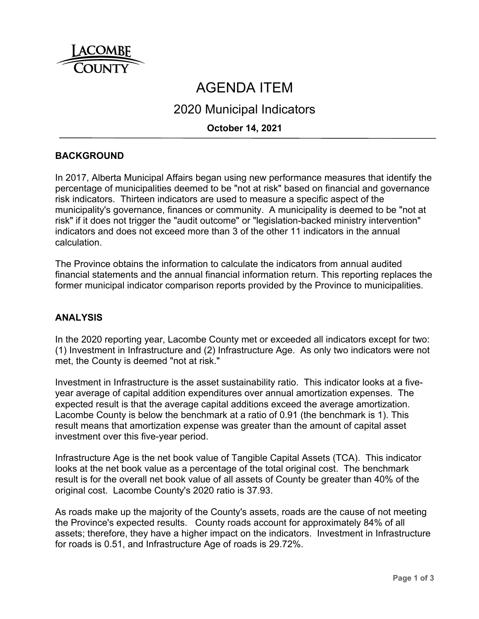

# AGENDA ITEM

# 2020 Municipal Indicators

# **October 14, 2021**

# **BACKGROUND**

In 2017, Alberta Municipal Affairs began using new performance measures that identify the percentage of municipalities deemed to be "not at risk" based on financial and governance risk indicators. Thirteen indicators are used to measure a specific aspect of the municipality's governance, finances or community. A municipality is deemed to be "not at risk" if it does not trigger the "audit outcome" or "legislation-backed ministry intervention" indicators and does not exceed more than 3 of the other 11 indicators in the annual calculation.

The Province obtains the information to calculate the indicators from annual audited financial statements and the annual financial information return. This reporting replaces the former municipal indicator comparison reports provided by the Province to municipalities.

#### **ANALYSIS**

In the 2020 reporting year, Lacombe County met or exceeded all indicators except for two: (1) Investment in Infrastructure and (2) Infrastructure Age. As only two indicators were not met, the County is deemed "not at risk."

Investment in Infrastructure is the asset sustainability ratio. This indicator looks at a fiveyear average of capital addition expenditures over annual amortization expenses. The expected result is that the average capital additions exceed the average amortization. Lacombe County is below the benchmark at a ratio of 0.91 (the benchmark is 1). This result means that amortization expense was greater than the amount of capital asset investment over this five-year period.

Infrastructure Age is the net book value of Tangible Capital Assets (TCA). This indicator looks at the net book value as a percentage of the total original cost. The benchmark result is for the overall net book value of all assets of County be greater than 40% of the original cost. Lacombe County's 2020 ratio is 37.93.

As roads make up the majority of the County's assets, roads are the cause of not meeting the Province's expected results. County roads account for approximately 84% of all assets; therefore, they have a higher impact on the indicators. Investment in Infrastructure for roads is 0.51, and Infrastructure Age of roads is 29.72%.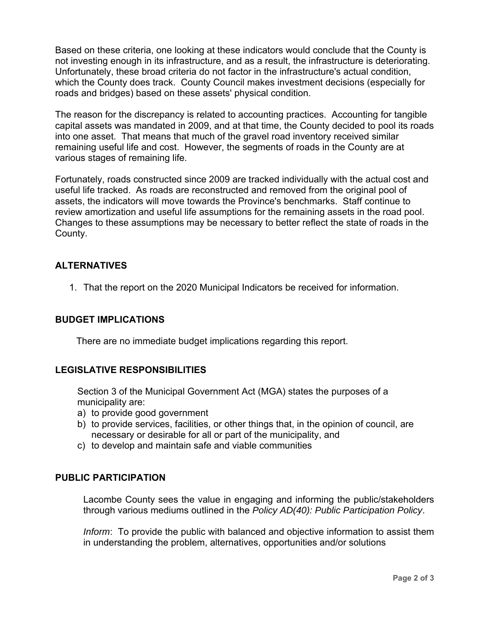Based on these criteria, one looking at these indicators would conclude that the County is not investing enough in its infrastructure, and as a result, the infrastructure is deteriorating. Unfortunately, these broad criteria do not factor in the infrastructure's actual condition, which the County does track. County Council makes investment decisions (especially for roads and bridges) based on these assets' physical condition.

The reason for the discrepancy is related to accounting practices. Accounting for tangible capital assets was mandated in 2009, and at that time, the County decided to pool its roads into one asset. That means that much of the gravel road inventory received similar remaining useful life and cost. However, the segments of roads in the County are at various stages of remaining life.

Fortunately, roads constructed since 2009 are tracked individually with the actual cost and useful life tracked. As roads are reconstructed and removed from the original pool of assets, the indicators will move towards the Province's benchmarks. Staff continue to review amortization and useful life assumptions for the remaining assets in the road pool. Changes to these assumptions may be necessary to better reflect the state of roads in the County.

# **ALTERNATIVES**

1. That the report on the 2020 Municipal Indicators be received for information.

#### **BUDGET IMPLICATIONS**

There are no immediate budget implications regarding this report.

#### **LEGISLATIVE RESPONSIBILITIES**

Section 3 of the Municipal Government Act (MGA) states the purposes of a municipality are:

- a) to provide good government
- b) to provide services, facilities, or other things that, in the opinion of council, are necessary or desirable for all or part of the municipality, and
- c) to develop and maintain safe and viable communities

#### **PUBLIC PARTICIPATION**

Lacombe County sees the value in engaging and informing the public/stakeholders through various mediums outlined in the *Policy AD(40): Public Participation Policy*.

*Inform*: To provide the public with balanced and objective information to assist them in understanding the problem, alternatives, opportunities and/or solutions